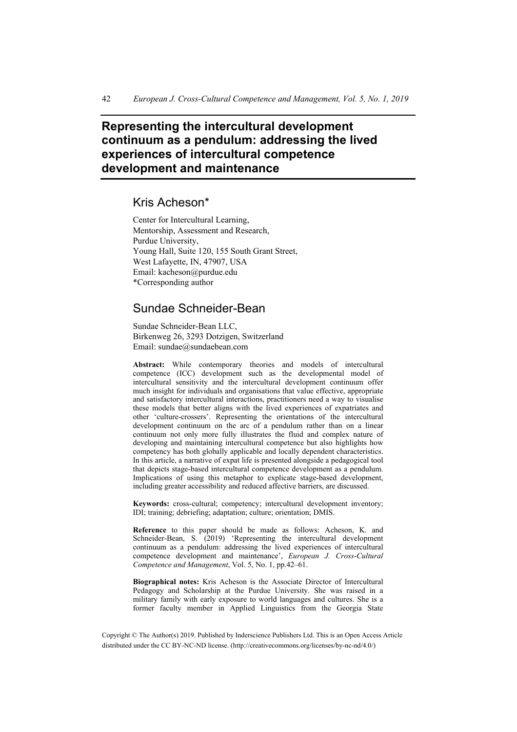# **Representing the intercultural development continuum as a pendulum: addressing the lived experiences of intercultural competence development and maintenance**

## Kris Acheson\*

Center for Intercultural Learning, Mentorship, Assessment and Research, Purdue University, Young Hall, Suite 120, 155 South Grant Street, West Lafayette, IN, 47907, USA Email: kacheson@purdue.edu \*Corresponding author

## Sundae Schneider-Bean

Sundae Schneider-Bean LLC, Birkenweg 26, 3293 Dotzigen, Switzerland Email: sundae@sundaebean.com

**Abstract:** While contemporary theories and models of intercultural competence (ICC) development such as the developmental model of intercultural sensitivity and the intercultural development continuum offer much insight for individuals and organisations that value effective, appropriate and satisfactory intercultural interactions, practitioners need a way to visualise these models that better aligns with the lived experiences of expatriates and other 'culture-crossers'. Representing the orientations of the intercultural development continuum on the arc of a pendulum rather than on a linear continuum not only more fully illustrates the fluid and complex nature of developing and maintaining intercultural competence but also highlights how competency has both globally applicable and locally dependent characteristics. In this article, a narrative of expat life is presented alongside a pedagogical tool that depicts stage-based intercultural competence development as a pendulum. Implications of using this metaphor to explicate stage-based development, including greater accessibility and reduced affective barriers, are discussed.

**Keywords:** cross-cultural; competency; intercultural development inventory; IDI; training; debriefing; adaptation; culture; orientation; DMIS.

**Reference** to this paper should be made as follows: Acheson, K. and Schneider-Bean, S. (2019) 'Representing the intercultural development continuum as a pendulum: addressing the lived experiences of intercultural competence development and maintenance', *European J. Cross-Cultural Competence and Management*, Vol. 5, No. 1, pp.42–61.

**Biographical notes:** Kris Acheson is the Associate Director of Intercultural Pedagogy and Scholarship at the Purdue University. She was raised in a military family with early exposure to world languages and cultures. She is a former faculty member in Applied Linguistics from the Georgia State

 Copyright © The Author(s) 2019. Published by Inderscience Publishers Ltd. This is an Open Access Article distributed under the CC BY-NC-ND license. (http://creativecommons.org/licenses/by-nc-nd/4.0/)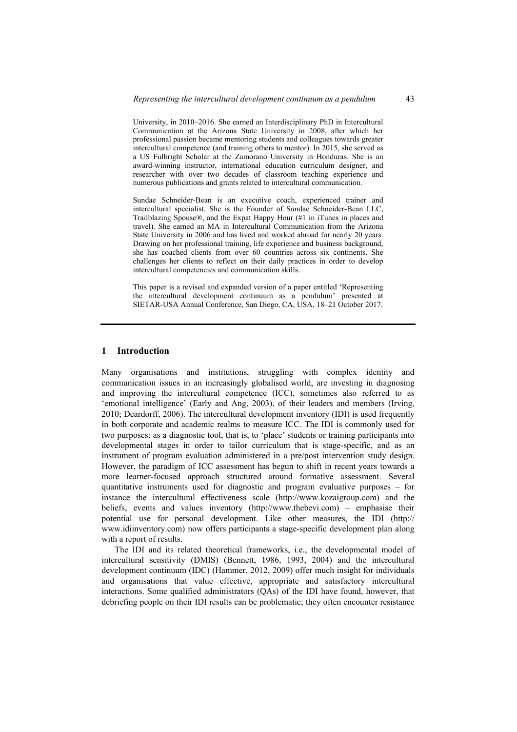University, in 2010–2016. She earned an Interdisciplinary PhD in Intercultural Communication at the Arizona State University in 2008, after which her professional passion became mentoring students and colleagues towards greater intercultural competence (and training others to mentor). In 2015, she served as a US Fulbright Scholar at the Zamorano University in Honduras. She is an award-winning instructor, international education curriculum designer, and researcher with over two decades of classroom teaching experience and numerous publications and grants related to intercultural communication.

Sundae Schneider-Bean is an executive coach, experienced trainer and intercultural specialist. She is the Founder of Sundae Schneider-Bean LLC, Trailblazing Spouse®, and the Expat Happy Hour (#1 in iTunes in places and travel). She earned an MA in Intercultural Communication from the Arizona State University in 2006 and has lived and worked abroad for nearly 20 years. Drawing on her professional training, life experience and business background, she has coached clients from over 60 countries across six continents. She challenges her clients to reflect on their daily practices in order to develop intercultural competencies and communication skills.

This paper is a revised and expanded version of a paper entitled 'Representing the intercultural development continuum as a pendulum' presented at SIETAR-USA Annual Conference, San Diego, CA, USA, 18–21 October 2017.

#### **1 Introduction**

Many organisations and institutions, struggling with complex identity and communication issues in an increasingly globalised world, are investing in diagnosing and improving the intercultural competence (ICC), sometimes also referred to as 'emotional intelligence' (Early and Ang, 2003), of their leaders and members (Irving, 2010; Deardorff, 2006). The intercultural development inventory (IDI) is used frequently in both corporate and academic realms to measure ICC. The IDI is commonly used for two purposes: as a diagnostic tool, that is, to 'place' students or training participants into developmental stages in order to tailor curriculum that is stage-specific, and as an instrument of program evaluation administered in a pre/post intervention study design. However, the paradigm of ICC assessment has begun to shift in recent years towards a more learner-focused approach structured around formative assessment. Several quantitative instruments used for diagnostic and program evaluative purposes – for instance the intercultural effectiveness scale (http://www.kozaigroup.com) and the beliefs, events and values inventory (http://www.thebevi.com) – emphasise their potential use for personal development. Like other measures, the IDI (http:// www.idiinventory.com) now offers participants a stage-specific development plan along with a report of results.

The IDI and its related theoretical frameworks, i.e., the developmental model of intercultural sensitivity (DMIS) (Bennett, 1986, 1993, 2004) and the intercultural development continuum (IDC) (Hammer, 2012, 2009) offer much insight for individuals and organisations that value effective, appropriate and satisfactory intercultural interactions. Some qualified administrators (QAs) of the IDI have found, however, that debriefing people on their IDI results can be problematic; they often encounter resistance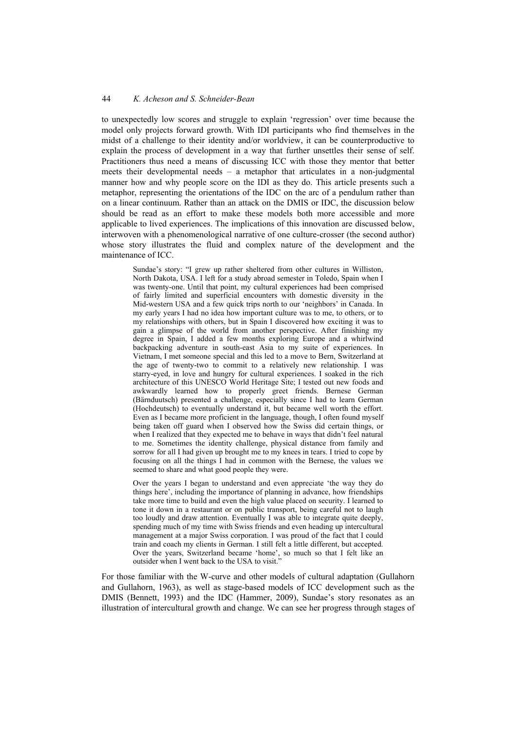to unexpectedly low scores and struggle to explain 'regression' over time because the model only projects forward growth. With IDI participants who find themselves in the midst of a challenge to their identity and/or worldview, it can be counterproductive to explain the process of development in a way that further unsettles their sense of self. Practitioners thus need a means of discussing ICC with those they mentor that better meets their developmental needs – a metaphor that articulates in a non-judgmental manner how and why people score on the IDI as they do. This article presents such a metaphor, representing the orientations of the IDC on the arc of a pendulum rather than on a linear continuum. Rather than an attack on the DMIS or IDC, the discussion below should be read as an effort to make these models both more accessible and more applicable to lived experiences. The implications of this innovation are discussed below, interwoven with a phenomenological narrative of one culture-crosser (the second author) whose story illustrates the fluid and complex nature of the development and the maintenance of ICC.

Sundae's story: "I grew up rather sheltered from other cultures in Williston, North Dakota, USA. I left for a study abroad semester in Toledo, Spain when I was twenty-one. Until that point, my cultural experiences had been comprised of fairly limited and superficial encounters with domestic diversity in the Mid-western USA and a few quick trips north to our 'neighbors' in Canada. In my early years I had no idea how important culture was to me, to others, or to my relationships with others, but in Spain I discovered how exciting it was to gain a glimpse of the world from another perspective. After finishing my degree in Spain, I added a few months exploring Europe and a whirlwind backpacking adventure in south-east Asia to my suite of experiences. In Vietnam, I met someone special and this led to a move to Bern, Switzerland at the age of twenty-two to commit to a relatively new relationship. I was starry-eyed, in love and hungry for cultural experiences. I soaked in the rich architecture of this UNESCO World Heritage Site; I tested out new foods and awkwardly learned how to properly greet friends. Bernese German (Bärnduutsch) presented a challenge, especially since I had to learn German (Hochdeutsch) to eventually understand it, but became well worth the effort. Even as I became more proficient in the language, though, I often found myself being taken off guard when I observed how the Swiss did certain things, or when I realized that they expected me to behave in ways that didn't feel natural to me. Sometimes the identity challenge, physical distance from family and sorrow for all I had given up brought me to my knees in tears. I tried to cope by focusing on all the things I had in common with the Bernese, the values we seemed to share and what good people they were.

Over the years I began to understand and even appreciate 'the way they do things here', including the importance of planning in advance, how friendships take more time to build and even the high value placed on security. I learned to tone it down in a restaurant or on public transport, being careful not to laugh too loudly and draw attention. Eventually I was able to integrate quite deeply, spending much of my time with Swiss friends and even heading up intercultural management at a major Swiss corporation. I was proud of the fact that I could train and coach my clients in German. I still felt a little different, but accepted. Over the years, Switzerland became 'home', so much so that I felt like an outsider when I went back to the USA to visit.

For those familiar with the W-curve and other models of cultural adaptation (Gullahorn and Gullahorn, 1963), as well as stage-based models of ICC development such as the DMIS (Bennett, 1993) and the IDC (Hammer, 2009), Sundae's story resonates as an illustration of intercultural growth and change. We can see her progress through stages of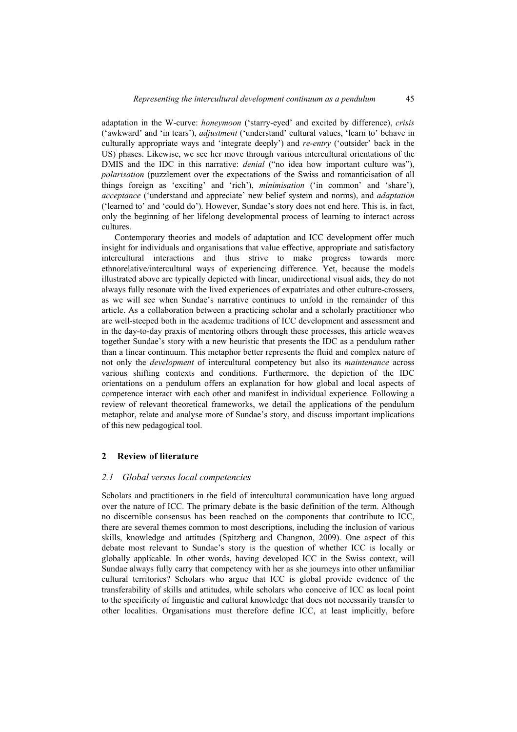adaptation in the W-curve: *honeymoon* ('starry-eyed' and excited by difference), *crisis* ('awkward' and 'in tears'), *adjustment* ('understand' cultural values, 'learn to' behave in culturally appropriate ways and 'integrate deeply') and *re-entry* ('outsider' back in the US) phases. Likewise, we see her move through various intercultural orientations of the DMIS and the IDC in this narrative: *denial* ("no idea how important culture was"), *polarisation* (puzzlement over the expectations of the Swiss and romanticisation of all things foreign as 'exciting' and 'rich'), *minimisation* ('in common' and 'share'), *acceptance* ('understand and appreciate' new belief system and norms), and *adaptation* ('learned to' and 'could do'). However, Sundae's story does not end here. This is, in fact, only the beginning of her lifelong developmental process of learning to interact across cultures.

Contemporary theories and models of adaptation and ICC development offer much insight for individuals and organisations that value effective, appropriate and satisfactory intercultural interactions and thus strive to make progress towards more ethnorelative/intercultural ways of experiencing difference. Yet, because the models illustrated above are typically depicted with linear, unidirectional visual aids, they do not always fully resonate with the lived experiences of expatriates and other culture-crossers, as we will see when Sundae's narrative continues to unfold in the remainder of this article. As a collaboration between a practicing scholar and a scholarly practitioner who are well-steeped both in the academic traditions of ICC development and assessment and in the day-to-day praxis of mentoring others through these processes, this article weaves together Sundae's story with a new heuristic that presents the IDC as a pendulum rather than a linear continuum. This metaphor better represents the fluid and complex nature of not only the *development* of intercultural competency but also its *maintenance* across various shifting contexts and conditions. Furthermore, the depiction of the IDC orientations on a pendulum offers an explanation for how global and local aspects of competence interact with each other and manifest in individual experience. Following a review of relevant theoretical frameworks, we detail the applications of the pendulum metaphor, relate and analyse more of Sundae's story, and discuss important implications of this new pedagogical tool.

## **2 Review of literature**

#### *2.1 Global versus local competencies*

Scholars and practitioners in the field of intercultural communication have long argued over the nature of ICC. The primary debate is the basic definition of the term. Although no discernible consensus has been reached on the components that contribute to ICC, there are several themes common to most descriptions, including the inclusion of various skills, knowledge and attitudes (Spitzberg and Changnon, 2009). One aspect of this debate most relevant to Sundae's story is the question of whether ICC is locally or globally applicable. In other words, having developed ICC in the Swiss context, will Sundae always fully carry that competency with her as she journeys into other unfamiliar cultural territories? Scholars who argue that ICC is global provide evidence of the transferability of skills and attitudes, while scholars who conceive of ICC as local point to the specificity of linguistic and cultural knowledge that does not necessarily transfer to other localities. Organisations must therefore define ICC, at least implicitly, before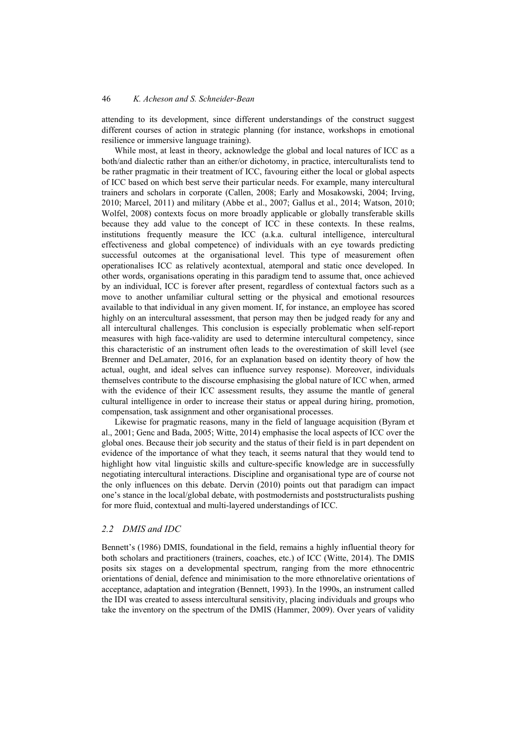attending to its development, since different understandings of the construct suggest different courses of action in strategic planning (for instance, workshops in emotional resilience or immersive language training).

While most, at least in theory, acknowledge the global and local natures of ICC as a both/and dialectic rather than an either/or dichotomy, in practice, interculturalists tend to be rather pragmatic in their treatment of ICC, favouring either the local or global aspects of ICC based on which best serve their particular needs. For example, many intercultural trainers and scholars in corporate (Callen, 2008; Early and Mosakowski, 2004; Irving, 2010; Marcel, 2011) and military (Abbe et al., 2007; Gallus et al., 2014; Watson, 2010; Wolfel, 2008) contexts focus on more broadly applicable or globally transferable skills because they add value to the concept of ICC in these contexts. In these realms, institutions frequently measure the ICC (a.k.a. cultural intelligence, intercultural effectiveness and global competence) of individuals with an eye towards predicting successful outcomes at the organisational level. This type of measurement often operationalises ICC as relatively acontextual, atemporal and static once developed. In other words, organisations operating in this paradigm tend to assume that, once achieved by an individual, ICC is forever after present, regardless of contextual factors such as a move to another unfamiliar cultural setting or the physical and emotional resources available to that individual in any given moment. If, for instance, an employee has scored highly on an intercultural assessment, that person may then be judged ready for any and all intercultural challenges. This conclusion is especially problematic when self-report measures with high face-validity are used to determine intercultural competency, since this characteristic of an instrument often leads to the overestimation of skill level (see Brenner and DeLamater, 2016, for an explanation based on identity theory of how the actual, ought, and ideal selves can influence survey response). Moreover, individuals themselves contribute to the discourse emphasising the global nature of ICC when, armed with the evidence of their ICC assessment results, they assume the mantle of general cultural intelligence in order to increase their status or appeal during hiring, promotion, compensation, task assignment and other organisational processes.

Likewise for pragmatic reasons, many in the field of language acquisition (Byram et al., 2001; Genc and Bada, 2005; Witte, 2014) emphasise the local aspects of ICC over the global ones. Because their job security and the status of their field is in part dependent on evidence of the importance of what they teach, it seems natural that they would tend to highlight how vital linguistic skills and culture-specific knowledge are in successfully negotiating intercultural interactions. Discipline and organisational type are of course not the only influences on this debate. Dervin (2010) points out that paradigm can impact one's stance in the local/global debate, with postmodernists and poststructuralists pushing for more fluid, contextual and multi-layered understandings of ICC.

#### *2.2 DMIS and IDC*

Bennett's (1986) DMIS, foundational in the field, remains a highly influential theory for both scholars and practitioners (trainers, coaches, etc.) of ICC (Witte, 2014). The DMIS posits six stages on a developmental spectrum, ranging from the more ethnocentric orientations of denial, defence and minimisation to the more ethnorelative orientations of acceptance, adaptation and integration (Bennett, 1993). In the 1990s, an instrument called the IDI was created to assess intercultural sensitivity, placing individuals and groups who take the inventory on the spectrum of the DMIS (Hammer, 2009). Over years of validity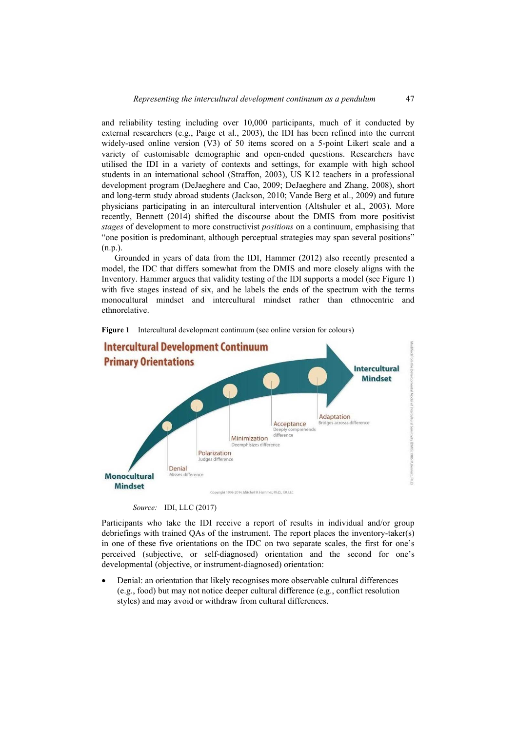and reliability testing including over 10,000 participants, much of it conducted by external researchers (e.g., Paige et al., 2003), the IDI has been refined into the current widely-used online version (V3) of 50 items scored on a 5-point Likert scale and a variety of customisable demographic and open-ended questions. Researchers have utilised the IDI in a variety of contexts and settings, for example with high school students in an international school (Straffon, 2003), US K12 teachers in a professional development program (DeJaeghere and Cao, 2009; DeJaeghere and Zhang, 2008), short and long-term study abroad students (Jackson, 2010; Vande Berg et al., 2009) and future physicians participating in an intercultural intervention (Altshuler et al., 2003). More recently, Bennett (2014) shifted the discourse about the DMIS from more positivist *stages* of development to more constructivist *positions* on a continuum, emphasising that "one position is predominant, although perceptual strategies may span several positions" (n.p.).

Grounded in years of data from the IDI, Hammer (2012) also recently presented a model, the IDC that differs somewhat from the DMIS and more closely aligns with the Inventory. Hammer argues that validity testing of the IDI supports a model (see Figure 1) with five stages instead of six, and he labels the ends of the spectrum with the terms monocultural mindset and intercultural mindset rather than ethnocentric and ethnorelative.



**Figure 1** Intercultural development continuum (see online version for colours)

*Source:* IDI, LLC (2017)

Participants who take the IDI receive a report of results in individual and/or group debriefings with trained QAs of the instrument. The report places the inventory-taker(s) in one of these five orientations on the IDC on two separate scales, the first for one's perceived (subjective, or self-diagnosed) orientation and the second for one's developmental (objective, or instrument-diagnosed) orientation:

• Denial: an orientation that likely recognises more observable cultural differences (e.g., food) but may not notice deeper cultural difference (e.g., conflict resolution styles) and may avoid or withdraw from cultural differences.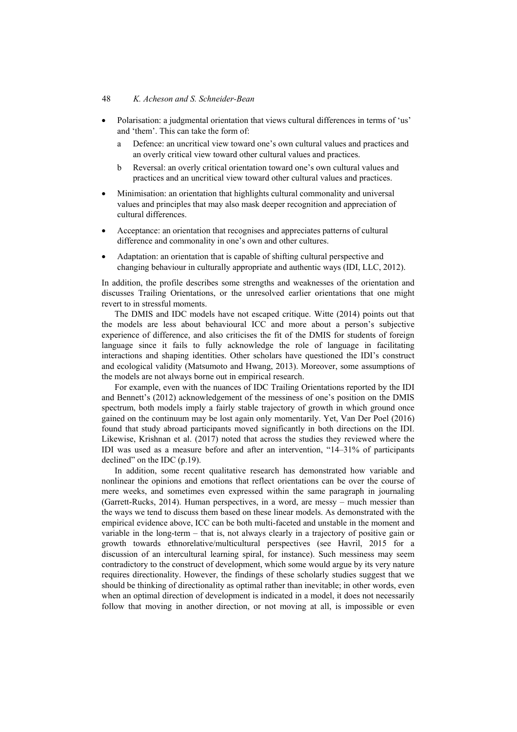- Polarisation: a judgmental orientation that views cultural differences in terms of 'us' and 'them'. This can take the form of:
	- Defence: an uncritical view toward one's own cultural values and practices and an overly critical view toward other cultural values and practices.
	- b Reversal: an overly critical orientation toward one's own cultural values and practices and an uncritical view toward other cultural values and practices.
- Minimisation: an orientation that highlights cultural commonality and universal values and principles that may also mask deeper recognition and appreciation of cultural differences.
- Acceptance: an orientation that recognises and appreciates patterns of cultural difference and commonality in one's own and other cultures.
- Adaptation: an orientation that is capable of shifting cultural perspective and changing behaviour in culturally appropriate and authentic ways (IDI, LLC, 2012).

In addition, the profile describes some strengths and weaknesses of the orientation and discusses Trailing Orientations, or the unresolved earlier orientations that one might revert to in stressful moments.

The DMIS and IDC models have not escaped critique. Witte (2014) points out that the models are less about behavioural ICC and more about a person's subjective experience of difference, and also criticises the fit of the DMIS for students of foreign language since it fails to fully acknowledge the role of language in facilitating interactions and shaping identities. Other scholars have questioned the IDI's construct and ecological validity (Matsumoto and Hwang, 2013). Moreover, some assumptions of the models are not always borne out in empirical research.

For example, even with the nuances of IDC Trailing Orientations reported by the IDI and Bennett's (2012) acknowledgement of the messiness of one's position on the DMIS spectrum, both models imply a fairly stable trajectory of growth in which ground once gained on the continuum may be lost again only momentarily. Yet, Van Der Poel (2016) found that study abroad participants moved significantly in both directions on the IDI. Likewise, Krishnan et al. (2017) noted that across the studies they reviewed where the IDI was used as a measure before and after an intervention, "14–31% of participants declined" on the IDC (p.19).

In addition, some recent qualitative research has demonstrated how variable and nonlinear the opinions and emotions that reflect orientations can be over the course of mere weeks, and sometimes even expressed within the same paragraph in journaling (Garrett-Rucks, 2014). Human perspectives, in a word, are messy – much messier than the ways we tend to discuss them based on these linear models. As demonstrated with the empirical evidence above, ICC can be both multi-faceted and unstable in the moment and variable in the long-term – that is, not always clearly in a trajectory of positive gain or growth towards ethnorelative/multicultural perspectives (see Havril, 2015 for a discussion of an intercultural learning spiral, for instance). Such messiness may seem contradictory to the construct of development, which some would argue by its very nature requires directionality. However, the findings of these scholarly studies suggest that we should be thinking of directionality as optimal rather than inevitable; in other words, even when an optimal direction of development is indicated in a model, it does not necessarily follow that moving in another direction, or not moving at all, is impossible or even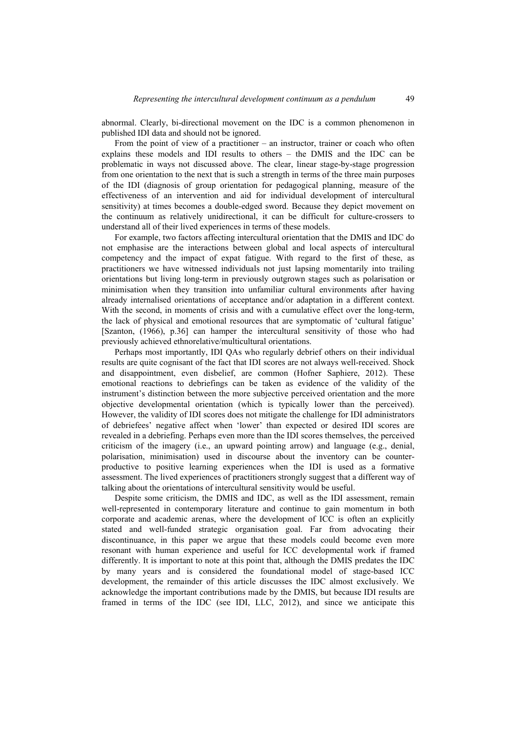abnormal. Clearly, bi-directional movement on the IDC is a common phenomenon in published IDI data and should not be ignored.

From the point of view of a practitioner – an instructor, trainer or coach who often explains these models and IDI results to others – the DMIS and the IDC can be problematic in ways not discussed above. The clear, linear stage-by-stage progression from one orientation to the next that is such a strength in terms of the three main purposes of the IDI (diagnosis of group orientation for pedagogical planning, measure of the effectiveness of an intervention and aid for individual development of intercultural sensitivity) at times becomes a double-edged sword. Because they depict movement on the continuum as relatively unidirectional, it can be difficult for culture-crossers to understand all of their lived experiences in terms of these models.

For example, two factors affecting intercultural orientation that the DMIS and IDC do not emphasise are the interactions between global and local aspects of intercultural competency and the impact of expat fatigue. With regard to the first of these, as practitioners we have witnessed individuals not just lapsing momentarily into trailing orientations but living long-term in previously outgrown stages such as polarisation or minimisation when they transition into unfamiliar cultural environments after having already internalised orientations of acceptance and/or adaptation in a different context. With the second, in moments of crisis and with a cumulative effect over the long-term, the lack of physical and emotional resources that are symptomatic of 'cultural fatigue' [Szanton, (1966), p.36] can hamper the intercultural sensitivity of those who had previously achieved ethnorelative/multicultural orientations.

Perhaps most importantly, IDI QAs who regularly debrief others on their individual results are quite cognisant of the fact that IDI scores are not always well-received. Shock and disappointment, even disbelief, are common (Hofner Saphiere, 2012). These emotional reactions to debriefings can be taken as evidence of the validity of the instrument's distinction between the more subjective perceived orientation and the more objective developmental orientation (which is typically lower than the perceived). However, the validity of IDI scores does not mitigate the challenge for IDI administrators of debriefees' negative affect when 'lower' than expected or desired IDI scores are revealed in a debriefing. Perhaps even more than the IDI scores themselves, the perceived criticism of the imagery (i.e., an upward pointing arrow) and language (e.g., denial, polarisation, minimisation) used in discourse about the inventory can be counterproductive to positive learning experiences when the IDI is used as a formative assessment. The lived experiences of practitioners strongly suggest that a different way of talking about the orientations of intercultural sensitivity would be useful.

Despite some criticism, the DMIS and IDC, as well as the IDI assessment, remain well-represented in contemporary literature and continue to gain momentum in both corporate and academic arenas, where the development of ICC is often an explicitly stated and well-funded strategic organisation goal. Far from advocating their discontinuance, in this paper we argue that these models could become even more resonant with human experience and useful for ICC developmental work if framed differently. It is important to note at this point that, although the DMIS predates the IDC by many years and is considered the foundational model of stage-based ICC development, the remainder of this article discusses the IDC almost exclusively. We acknowledge the important contributions made by the DMIS, but because IDI results are framed in terms of the IDC (see IDI, LLC, 2012), and since we anticipate this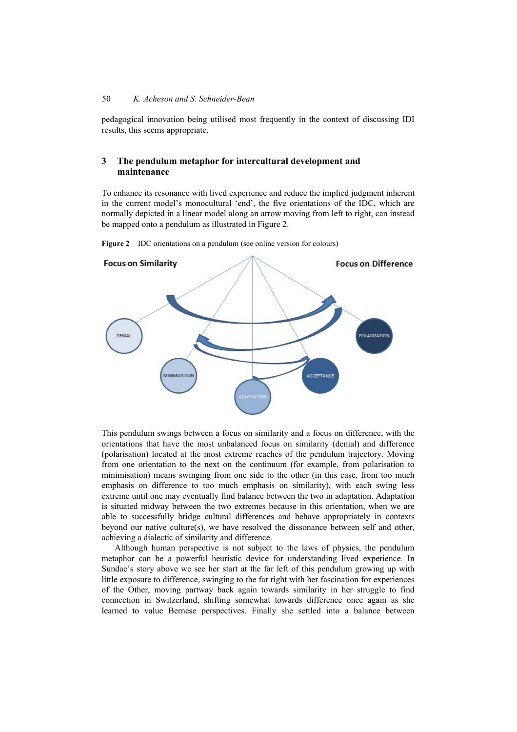pedagogical innovation being utilised most frequently in the context of discussing IDI results, this seems appropriate.

## **3 The pendulum metaphor for intercultural development and maintenance**

To enhance its resonance with lived experience and reduce the implied judgment inherent in the current model's monocultural 'end', the five orientations of the IDC, which are normally depicted in a linear model along an arrow moving from left to right, can instead be mapped onto a pendulum as illustrated in Figure 2.



**Figure 2** IDC orientations on a pendulum (see online version for colours)

This pendulum swings between a focus on similarity and a focus on difference, with the orientations that have the most unbalanced focus on similarity (denial) and difference (polarisation) located at the most extreme reaches of the pendulum trajectory. Moving from one orientation to the next on the continuum (for example, from polarisation to minimisation) means swinging from one side to the other (in this case, from too much emphasis on difference to too much emphasis on similarity), with each swing less extreme until one may eventually find balance between the two in adaptation. Adaptation is situated midway between the two extremes because in this orientation, when we are able to successfully bridge cultural differences and behave appropriately in contexts beyond our native culture(s), we have resolved the dissonance between self and other, achieving a dialectic of similarity and difference.

Although human perspective is not subject to the laws of physics, the pendulum metaphor can be a powerful heuristic device for understanding lived experience. In Sundae's story above we see her start at the far left of this pendulum growing up with little exposure to difference, swinging to the far right with her fascination for experiences of the Other, moving partway back again towards similarity in her struggle to find connection in Switzerland, shifting somewhat towards difference once again as she learned to value Bernese perspectives. Finally she settled into a balance between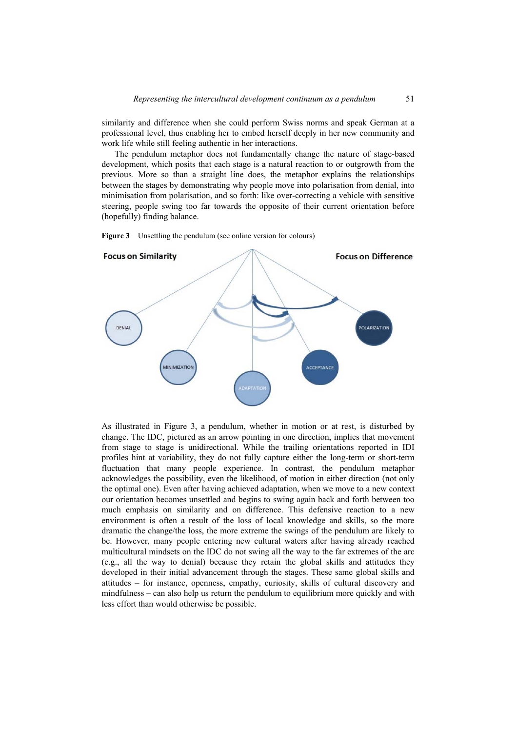similarity and difference when she could perform Swiss norms and speak German at a professional level, thus enabling her to embed herself deeply in her new community and work life while still feeling authentic in her interactions.

The pendulum metaphor does not fundamentally change the nature of stage-based development, which posits that each stage is a natural reaction to or outgrowth from the previous. More so than a straight line does, the metaphor explains the relationships between the stages by demonstrating why people move into polarisation from denial, into minimisation from polarisation, and so forth: like over-correcting a vehicle with sensitive steering, people swing too far towards the opposite of their current orientation before (hopefully) finding balance.

**Figure 3** Unsettling the pendulum (see online version for colours)



As illustrated in Figure 3, a pendulum, whether in motion or at rest, is disturbed by change. The IDC, pictured as an arrow pointing in one direction, implies that movement from stage to stage is unidirectional. While the trailing orientations reported in IDI profiles hint at variability, they do not fully capture either the long-term or short-term fluctuation that many people experience. In contrast, the pendulum metaphor acknowledges the possibility, even the likelihood, of motion in either direction (not only the optimal one). Even after having achieved adaptation, when we move to a new context our orientation becomes unsettled and begins to swing again back and forth between too much emphasis on similarity and on difference. This defensive reaction to a new environment is often a result of the loss of local knowledge and skills, so the more dramatic the change/the loss, the more extreme the swings of the pendulum are likely to be. However, many people entering new cultural waters after having already reached multicultural mindsets on the IDC do not swing all the way to the far extremes of the arc (e.g., all the way to denial) because they retain the global skills and attitudes they developed in their initial advancement through the stages. These same global skills and attitudes – for instance, openness, empathy, curiosity, skills of cultural discovery and mindfulness – can also help us return the pendulum to equilibrium more quickly and with less effort than would otherwise be possible.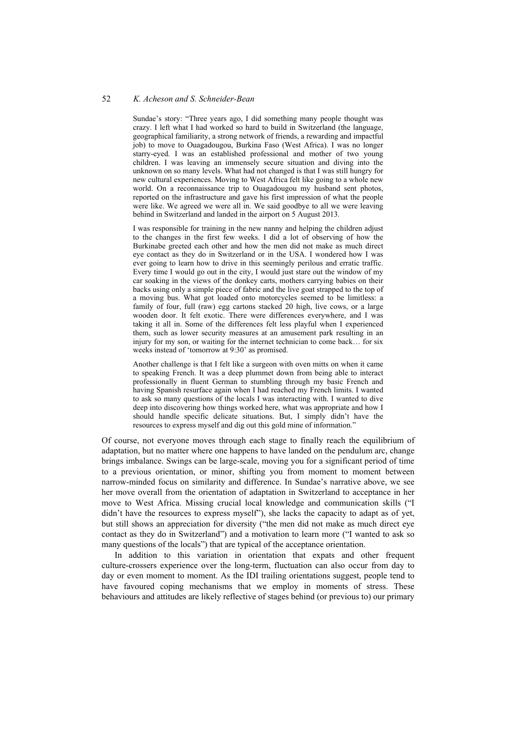Sundae's story: "Three years ago, I did something many people thought was crazy. I left what I had worked so hard to build in Switzerland (the language, geographical familiarity, a strong network of friends, a rewarding and impactful job) to move to Ouagadougou, Burkina Faso (West Africa). I was no longer starry-eyed. I was an established professional and mother of two young children. I was leaving an immensely secure situation and diving into the unknown on so many levels. What had not changed is that I was still hungry for new cultural experiences. Moving to West Africa felt like going to a whole new world. On a reconnaissance trip to Ouagadougou my husband sent photos, reported on the infrastructure and gave his first impression of what the people were like. We agreed we were all in. We said goodbye to all we were leaving behind in Switzerland and landed in the airport on 5 August 2013.

I was responsible for training in the new nanny and helping the children adjust to the changes in the first few weeks. I did a lot of observing of how the Burkinabe greeted each other and how the men did not make as much direct eye contact as they do in Switzerland or in the USA. I wondered how I was ever going to learn how to drive in this seemingly perilous and erratic traffic. Every time I would go out in the city, I would just stare out the window of my car soaking in the views of the donkey carts, mothers carrying babies on their backs using only a simple piece of fabric and the live goat strapped to the top of a moving bus. What got loaded onto motorcycles seemed to be limitless: a family of four, full (raw) egg cartons stacked 20 high, live cows, or a large wooden door. It felt exotic. There were differences everywhere, and I was taking it all in. Some of the differences felt less playful when I experienced them, such as lower security measures at an amusement park resulting in an injury for my son, or waiting for the internet technician to come back… for six weeks instead of 'tomorrow at 9:30' as promised.

Another challenge is that I felt like a surgeon with oven mitts on when it came to speaking French. It was a deep plummet down from being able to interact professionally in fluent German to stumbling through my basic French and having Spanish resurface again when I had reached my French limits. I wanted to ask so many questions of the locals I was interacting with. I wanted to dive deep into discovering how things worked here, what was appropriate and how I should handle specific delicate situations. But, I simply didn't have the resources to express myself and dig out this gold mine of information."

Of course, not everyone moves through each stage to finally reach the equilibrium of adaptation, but no matter where one happens to have landed on the pendulum arc, change brings imbalance. Swings can be large-scale, moving you for a significant period of time to a previous orientation, or minor, shifting you from moment to moment between narrow-minded focus on similarity and difference. In Sundae's narrative above, we see her move overall from the orientation of adaptation in Switzerland to acceptance in her move to West Africa. Missing crucial local knowledge and communication skills ("I didn't have the resources to express myself"), she lacks the capacity to adapt as of yet, but still shows an appreciation for diversity ("the men did not make as much direct eye contact as they do in Switzerland") and a motivation to learn more ("I wanted to ask so many questions of the locals") that are typical of the acceptance orientation.

In addition to this variation in orientation that expats and other frequent culture-crossers experience over the long-term, fluctuation can also occur from day to day or even moment to moment. As the IDI trailing orientations suggest, people tend to have favoured coping mechanisms that we employ in moments of stress. These behaviours and attitudes are likely reflective of stages behind (or previous to) our primary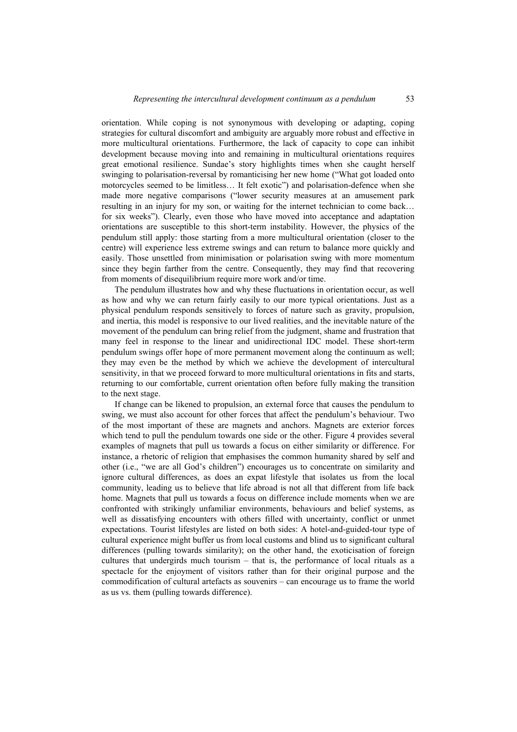orientation. While coping is not synonymous with developing or adapting, coping strategies for cultural discomfort and ambiguity are arguably more robust and effective in more multicultural orientations. Furthermore, the lack of capacity to cope can inhibit development because moving into and remaining in multicultural orientations requires great emotional resilience. Sundae's story highlights times when she caught herself swinging to polarisation-reversal by romanticising her new home ("What got loaded onto motorcycles seemed to be limitless… It felt exotic") and polarisation-defence when she made more negative comparisons ("lower security measures at an amusement park resulting in an injury for my son, or waiting for the internet technician to come back… for six weeks"). Clearly, even those who have moved into acceptance and adaptation orientations are susceptible to this short-term instability. However, the physics of the pendulum still apply: those starting from a more multicultural orientation (closer to the centre) will experience less extreme swings and can return to balance more quickly and easily. Those unsettled from minimisation or polarisation swing with more momentum since they begin farther from the centre. Consequently, they may find that recovering from moments of disequilibrium require more work and/or time.

The pendulum illustrates how and why these fluctuations in orientation occur, as well as how and why we can return fairly easily to our more typical orientations. Just as a physical pendulum responds sensitively to forces of nature such as gravity, propulsion, and inertia, this model is responsive to our lived realities, and the inevitable nature of the movement of the pendulum can bring relief from the judgment, shame and frustration that many feel in response to the linear and unidirectional IDC model. These short-term pendulum swings offer hope of more permanent movement along the continuum as well; they may even be the method by which we achieve the development of intercultural sensitivity, in that we proceed forward to more multicultural orientations in fits and starts, returning to our comfortable, current orientation often before fully making the transition to the next stage.

If change can be likened to propulsion, an external force that causes the pendulum to swing, we must also account for other forces that affect the pendulum's behaviour. Two of the most important of these are magnets and anchors. Magnets are exterior forces which tend to pull the pendulum towards one side or the other. Figure 4 provides several examples of magnets that pull us towards a focus on either similarity or difference. For instance, a rhetoric of religion that emphasises the common humanity shared by self and other (i.e., "we are all God's children") encourages us to concentrate on similarity and ignore cultural differences, as does an expat lifestyle that isolates us from the local community, leading us to believe that life abroad is not all that different from life back home. Magnets that pull us towards a focus on difference include moments when we are confronted with strikingly unfamiliar environments, behaviours and belief systems, as well as dissatisfying encounters with others filled with uncertainty, conflict or unmet expectations. Tourist lifestyles are listed on both sides: A hotel-and-guided-tour type of cultural experience might buffer us from local customs and blind us to significant cultural differences (pulling towards similarity); on the other hand, the exoticisation of foreign cultures that undergirds much tourism – that is, the performance of local rituals as a spectacle for the enjoyment of visitors rather than for their original purpose and the commodification of cultural artefacts as souvenirs – can encourage us to frame the world as us vs. them (pulling towards difference).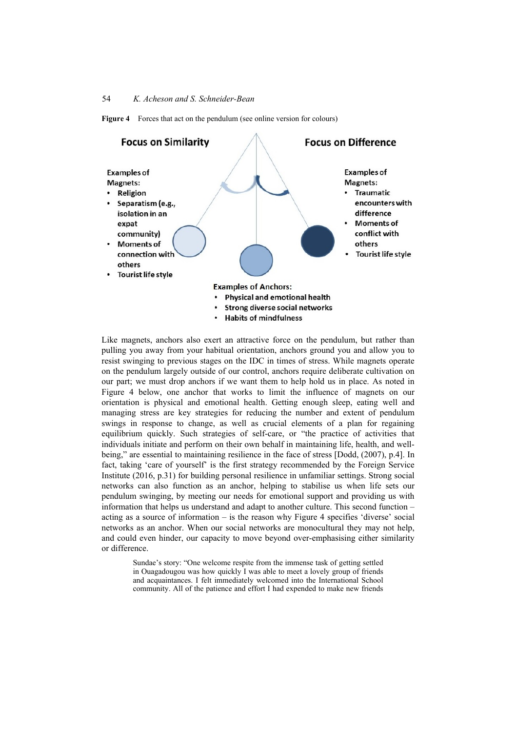**Figure 4** Forces that act on the pendulum (see online version for colours)



Like magnets, anchors also exert an attractive force on the pendulum, but rather than pulling you away from your habitual orientation, anchors ground you and allow you to resist swinging to previous stages on the IDC in times of stress. While magnets operate on the pendulum largely outside of our control, anchors require deliberate cultivation on our part; we must drop anchors if we want them to help hold us in place. As noted in Figure 4 below, one anchor that works to limit the influence of magnets on our orientation is physical and emotional health. Getting enough sleep, eating well and managing stress are key strategies for reducing the number and extent of pendulum swings in response to change, as well as crucial elements of a plan for regaining equilibrium quickly. Such strategies of self-care, or "the practice of activities that individuals initiate and perform on their own behalf in maintaining life, health, and wellbeing," are essential to maintaining resilience in the face of stress [Dodd, (2007), p.4]. In fact, taking 'care of yourself' is the first strategy recommended by the Foreign Service Institute (2016, p.31) for building personal resilience in unfamiliar settings. Strong social networks can also function as an anchor, helping to stabilise us when life sets our pendulum swinging, by meeting our needs for emotional support and providing us with information that helps us understand and adapt to another culture. This second function – acting as a source of information – is the reason why Figure 4 specifies 'diverse' social networks as an anchor. When our social networks are monocultural they may not help, and could even hinder, our capacity to move beyond over-emphasising either similarity or difference.

Sundae's story: "One welcome respite from the immense task of getting settled in Ouagadougou was how quickly I was able to meet a lovely group of friends and acquaintances. I felt immediately welcomed into the International School community. All of the patience and effort I had expended to make new friends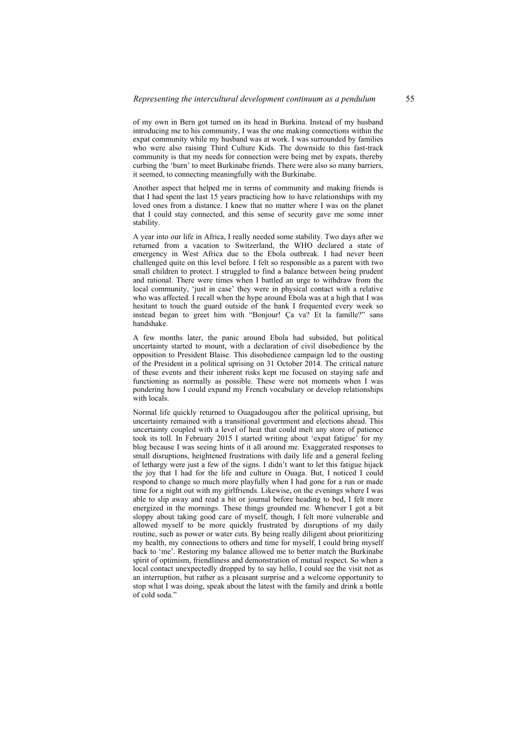of my own in Bern got turned on its head in Burkina. Instead of my husband introducing me to his community, I was the one making connections within the expat community while my husband was at work. I was surrounded by families who were also raising Third Culture Kids. The downside to this fast-track community is that my needs for connection were being met by expats, thereby curbing the 'burn' to meet Burkinabe friends. There were also so many barriers, it seemed, to connecting meaningfully with the Burkinabe.

Another aspect that helped me in terms of community and making friends is that I had spent the last 15 years practicing how to have relationships with my loved ones from a distance. I knew that no matter where I was on the planet that I could stay connected, and this sense of security gave me some inner stability.

A year into our life in Africa, I really needed some stability. Two days after we returned from a vacation to Switzerland, the WHO declared a state of emergency in West Africa due to the Ebola outbreak. I had never been challenged quite on this level before. I felt so responsible as a parent with two small children to protect. I struggled to find a balance between being prudent and rational. There were times when I battled an urge to withdraw from the local community, 'just in case' they were in physical contact with a relative who was affected. I recall when the hype around Ebola was at a high that I was hesitant to touch the guard outside of the bank I frequented every week so instead began to greet him with "Bonjour! Ça va? Et la famille?" sans handshake.

A few months later, the panic around Ebola had subsided, but political uncertainty started to mount, with a declaration of civil disobedience by the opposition to President Blaise. This disobedience campaign led to the ousting of the President in a political uprising on 31 October 2014. The critical nature of these events and their inherent risks kept me focused on staying safe and functioning as normally as possible. These were not moments when I was pondering how I could expand my French vocabulary or develop relationships with locals.

Normal life quickly returned to Ouagadougou after the political uprising, but uncertainty remained with a transitional government and elections ahead. This uncertainty coupled with a level of heat that could melt any store of patience took its toll. In February 2015 I started writing about 'expat fatigue' for my blog because I was seeing hints of it all around me. Exaggerated responses to small disruptions, heightened frustrations with daily life and a general feeling of lethargy were just a few of the signs. I didn't want to let this fatigue hijack the joy that I had for the life and culture in Ouaga. But, I noticed I could respond to change so much more playfully when I had gone for a run or made time for a night out with my girlfriends. Likewise, on the evenings where I was able to slip away and read a bit or journal before heading to bed, I felt more energized in the mornings. These things grounded me. Whenever I got a bit sloppy about taking good care of myself, though, I felt more vulnerable and allowed myself to be more quickly frustrated by disruptions of my daily routine, such as power or water cuts. By being really diligent about prioritizing my health, my connections to others and time for myself, I could bring myself back to 'me'. Restoring my balance allowed me to better match the Burkinabe spirit of optimism, friendliness and demonstration of mutual respect. So when a local contact unexpectedly dropped by to say hello, I could see the visit not as an interruption, but rather as a pleasant surprise and a welcome opportunity to stop what I was doing, speak about the latest with the family and drink a bottle of cold soda."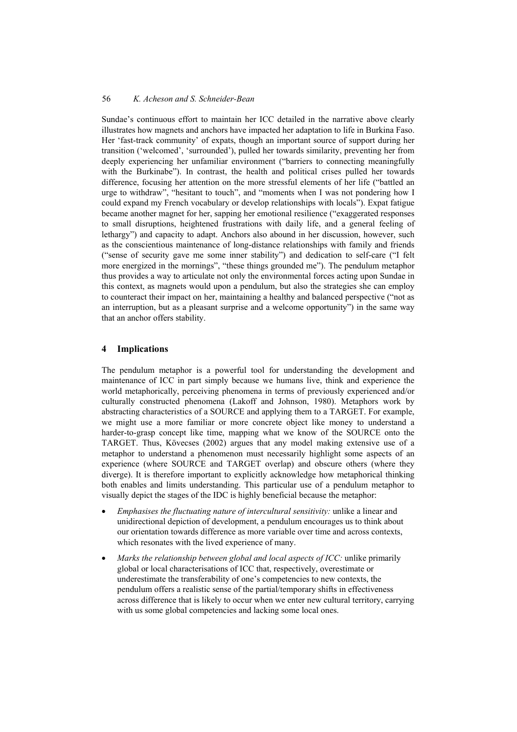Sundae's continuous effort to maintain her ICC detailed in the narrative above clearly illustrates how magnets and anchors have impacted her adaptation to life in Burkina Faso. Her 'fast-track community' of expats, though an important source of support during her transition ('welcomed', 'surrounded'), pulled her towards similarity, preventing her from deeply experiencing her unfamiliar environment ("barriers to connecting meaningfully with the Burkinabe"). In contrast, the health and political crises pulled her towards difference, focusing her attention on the more stressful elements of her life ("battled an urge to withdraw", "hesitant to touch", and "moments when I was not pondering how I could expand my French vocabulary or develop relationships with locals"). Expat fatigue became another magnet for her, sapping her emotional resilience ("exaggerated responses to small disruptions, heightened frustrations with daily life, and a general feeling of lethargy") and capacity to adapt. Anchors also abound in her discussion, however, such as the conscientious maintenance of long-distance relationships with family and friends ("sense of security gave me some inner stability") and dedication to self-care ("I felt more energized in the mornings", "these things grounded me"). The pendulum metaphor thus provides a way to articulate not only the environmental forces acting upon Sundae in this context, as magnets would upon a pendulum, but also the strategies she can employ to counteract their impact on her, maintaining a healthy and balanced perspective ("not as an interruption, but as a pleasant surprise and a welcome opportunity") in the same way that an anchor offers stability.

## **4 Implications**

The pendulum metaphor is a powerful tool for understanding the development and maintenance of ICC in part simply because we humans live, think and experience the world metaphorically, perceiving phenomena in terms of previously experienced and/or culturally constructed phenomena (Lakoff and Johnson, 1980). Metaphors work by abstracting characteristics of a SOURCE and applying them to a TARGET. For example, we might use a more familiar or more concrete object like money to understand a harder-to-grasp concept like time, mapping what we know of the SOURCE onto the TARGET. Thus, Kövecses (2002) argues that any model making extensive use of a metaphor to understand a phenomenon must necessarily highlight some aspects of an experience (where SOURCE and TARGET overlap) and obscure others (where they diverge). It is therefore important to explicitly acknowledge how metaphorical thinking both enables and limits understanding. This particular use of a pendulum metaphor to visually depict the stages of the IDC is highly beneficial because the metaphor:

- *Emphasises the fluctuating nature of intercultural sensitivity:* unlike a linear and unidirectional depiction of development, a pendulum encourages us to think about our orientation towards difference as more variable over time and across contexts, which resonates with the lived experience of many.
- *Marks the relationship between global and local aspects of ICC:* unlike primarily global or local characterisations of ICC that, respectively, overestimate or underestimate the transferability of one's competencies to new contexts, the pendulum offers a realistic sense of the partial/temporary shifts in effectiveness across difference that is likely to occur when we enter new cultural territory, carrying with us some global competencies and lacking some local ones.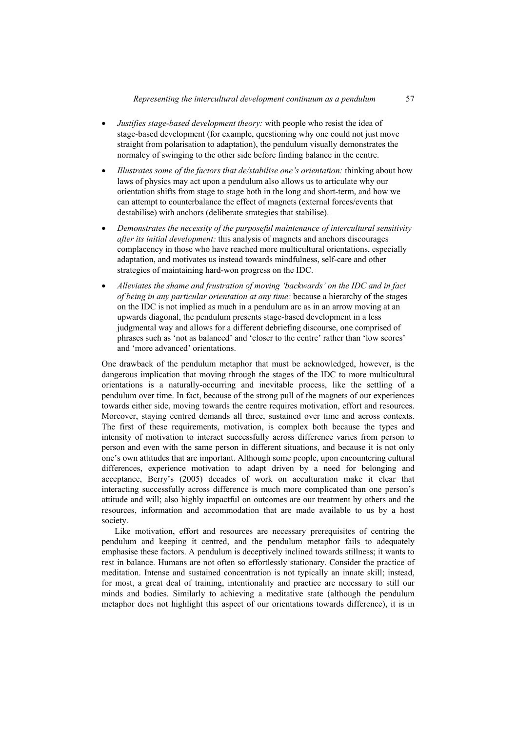- *Justifies stage-based development theory:* with people who resist the idea of stage-based development (for example, questioning why one could not just move straight from polarisation to adaptation), the pendulum visually demonstrates the normalcy of swinging to the other side before finding balance in the centre.
- *Illustrates some of the factors that de/stabilise one's orientation:* thinking about how laws of physics may act upon a pendulum also allows us to articulate why our orientation shifts from stage to stage both in the long and short-term, and how we can attempt to counterbalance the effect of magnets (external forces/events that destabilise) with anchors (deliberate strategies that stabilise).
- *Demonstrates the necessity of the purposeful maintenance of intercultural sensitivity after its initial development:* this analysis of magnets and anchors discourages complacency in those who have reached more multicultural orientations, especially adaptation, and motivates us instead towards mindfulness, self-care and other strategies of maintaining hard-won progress on the IDC.
- *Alleviates the shame and frustration of moving 'backwards' on the IDC and in fact of being in any particular orientation at any time:* because a hierarchy of the stages on the IDC is not implied as much in a pendulum arc as in an arrow moving at an upwards diagonal, the pendulum presents stage-based development in a less judgmental way and allows for a different debriefing discourse, one comprised of phrases such as 'not as balanced' and 'closer to the centre' rather than 'low scores' and 'more advanced' orientations.

One drawback of the pendulum metaphor that must be acknowledged, however, is the dangerous implication that moving through the stages of the IDC to more multicultural orientations is a naturally-occurring and inevitable process, like the settling of a pendulum over time. In fact, because of the strong pull of the magnets of our experiences towards either side, moving towards the centre requires motivation, effort and resources. Moreover, staying centred demands all three, sustained over time and across contexts. The first of these requirements, motivation, is complex both because the types and intensity of motivation to interact successfully across difference varies from person to person and even with the same person in different situations, and because it is not only one's own attitudes that are important. Although some people, upon encountering cultural differences, experience motivation to adapt driven by a need for belonging and acceptance, Berry's (2005) decades of work on acculturation make it clear that interacting successfully across difference is much more complicated than one person's attitude and will; also highly impactful on outcomes are our treatment by others and the resources, information and accommodation that are made available to us by a host society.

Like motivation, effort and resources are necessary prerequisites of centring the pendulum and keeping it centred, and the pendulum metaphor fails to adequately emphasise these factors. A pendulum is deceptively inclined towards stillness; it wants to rest in balance. Humans are not often so effortlessly stationary. Consider the practice of meditation. Intense and sustained concentration is not typically an innate skill; instead, for most, a great deal of training, intentionality and practice are necessary to still our minds and bodies. Similarly to achieving a meditative state (although the pendulum metaphor does not highlight this aspect of our orientations towards difference), it is in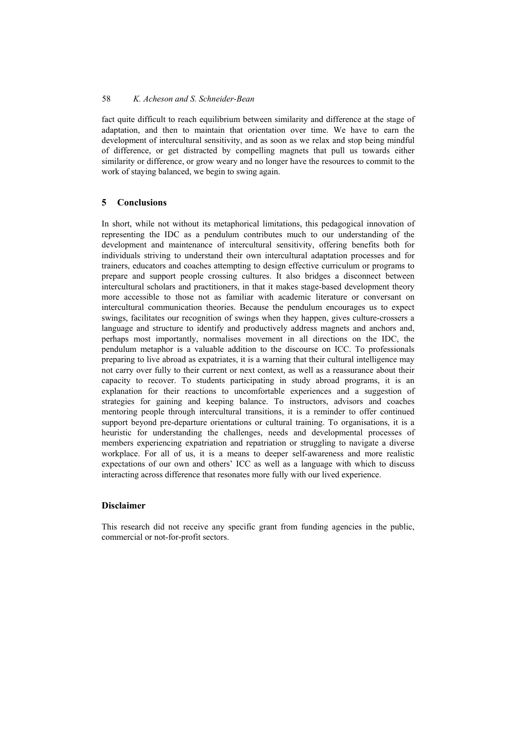fact quite difficult to reach equilibrium between similarity and difference at the stage of adaptation, and then to maintain that orientation over time. We have to earn the development of intercultural sensitivity, and as soon as we relax and stop being mindful of difference, or get distracted by compelling magnets that pull us towards either similarity or difference, or grow weary and no longer have the resources to commit to the work of staying balanced, we begin to swing again.

### **5 Conclusions**

In short, while not without its metaphorical limitations, this pedagogical innovation of representing the IDC as a pendulum contributes much to our understanding of the development and maintenance of intercultural sensitivity, offering benefits both for individuals striving to understand their own intercultural adaptation processes and for trainers, educators and coaches attempting to design effective curriculum or programs to prepare and support people crossing cultures. It also bridges a disconnect between intercultural scholars and practitioners, in that it makes stage-based development theory more accessible to those not as familiar with academic literature or conversant on intercultural communication theories. Because the pendulum encourages us to expect swings, facilitates our recognition of swings when they happen, gives culture-crossers a language and structure to identify and productively address magnets and anchors and, perhaps most importantly, normalises movement in all directions on the IDC, the pendulum metaphor is a valuable addition to the discourse on ICC. To professionals preparing to live abroad as expatriates, it is a warning that their cultural intelligence may not carry over fully to their current or next context, as well as a reassurance about their capacity to recover. To students participating in study abroad programs, it is an explanation for their reactions to uncomfortable experiences and a suggestion of strategies for gaining and keeping balance. To instructors, advisors and coaches mentoring people through intercultural transitions, it is a reminder to offer continued support beyond pre-departure orientations or cultural training. To organisations, it is a heuristic for understanding the challenges, needs and developmental processes of members experiencing expatriation and repatriation or struggling to navigate a diverse workplace. For all of us, it is a means to deeper self-awareness and more realistic expectations of our own and others' ICC as well as a language with which to discuss interacting across difference that resonates more fully with our lived experience.

## **Disclaimer**

This research did not receive any specific grant from funding agencies in the public, commercial or not-for-profit sectors.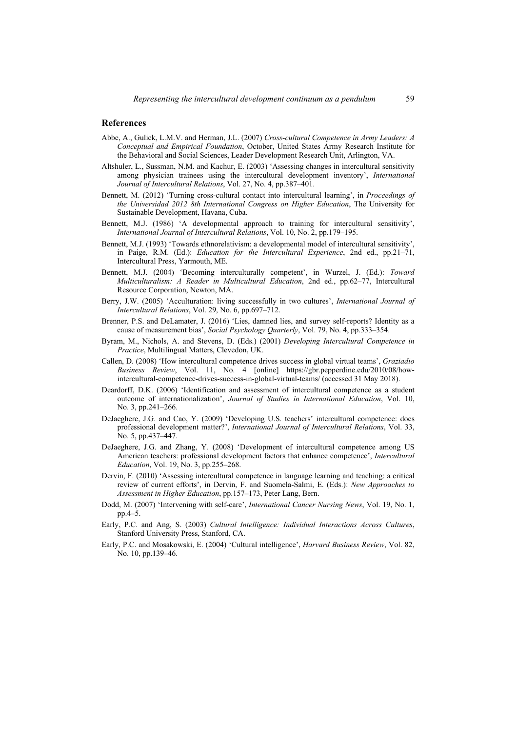#### **References**

- Abbe, A., Gulick, L.M.V. and Herman, J.L. (2007) *Cross-cultural Competence in Army Leaders: A Conceptual and Empirical Foundation*, October, United States Army Research Institute for the Behavioral and Social Sciences, Leader Development Research Unit, Arlington, VA.
- Altshuler, L., Sussman, N.M. and Kachur, E. (2003) 'Assessing changes in intercultural sensitivity among physician trainees using the intercultural development inventory', *International Journal of Intercultural Relations*, Vol. 27, No. 4, pp.387–401.
- Bennett, M. (2012) 'Turning cross-cultural contact into intercultural learning', in *Proceedings of the Universidad 2012 8th International Congress on Higher Education*, The University for Sustainable Development, Havana, Cuba.
- Bennett, M.J. (1986) 'A developmental approach to training for intercultural sensitivity', *International Journal of Intercultural Relations*, Vol. 10, No. 2, pp.179–195.
- Bennett, M.J. (1993) 'Towards ethnorelativism: a developmental model of intercultural sensitivity', in Paige, R.M. (Ed.): *Education for the Intercultural Experience*, 2nd ed., pp.21–71, Intercultural Press, Yarmouth, ME.
- Bennett, M.J. (2004) 'Becoming interculturally competent', in Wurzel, J. (Ed.): *Toward Multiculturalism: A Reader in Multicultural Education*, 2nd ed., pp.62–77, Intercultural Resource Corporation, Newton, MA.
- Berry, J.W. (2005) 'Acculturation: living successfully in two cultures', *International Journal of Intercultural Relations*, Vol. 29, No. 6, pp.697–712.
- Brenner, P.S. and DeLamater, J. (2016) 'Lies, damned lies, and survey self-reports? Identity as a cause of measurement bias', *Social Psychology Quarterly*, Vol. 79, No. 4, pp.333–354.
- Byram, M., Nichols, A. and Stevens, D. (Eds.) (2001) *Developing Intercultural Competence in Practice*, Multilingual Matters, Clevedon, UK.
- Callen, D. (2008) 'How intercultural competence drives success in global virtual teams', *Graziadio Business Review*, Vol. 11, No. 4 [online] https://gbr.pepperdine.edu/2010/08/howintercultural-competence-drives-success-in-global-virtual-teams/ (accessed 31 May 2018).
- Deardorff, D.K. (2006) 'Identification and assessment of intercultural competence as a student outcome of internationalization', *Journal of Studies in International Education*, Vol. 10, No. 3, pp.241–266.
- DeJaeghere, J.G. and Cao, Y. (2009) 'Developing U.S. teachers' intercultural competence: does professional development matter?', *International Journal of Intercultural Relations*, Vol. 33, No. 5, pp.437–447.
- DeJaeghere, J.G. and Zhang, Y. (2008) 'Development of intercultural competence among US American teachers: professional development factors that enhance competence', *Intercultural Education*, Vol. 19, No. 3, pp.255–268.
- Dervin, F. (2010) 'Assessing intercultural competence in language learning and teaching: a critical review of current efforts', in Dervin, F. and Suomela-Salmi, E. (Eds.): *New Approaches to Assessment in Higher Education*, pp.157–173, Peter Lang, Bern.
- Dodd, M. (2007) 'Intervening with self-care', *International Cancer Nursing News*, Vol. 19, No. 1, pp.4–5.
- Early, P.C. and Ang, S. (2003) *Cultural Intelligence: Individual Interactions Across Cultures*, Stanford University Press, Stanford, CA.
- Early, P.C. and Mosakowski, E. (2004) 'Cultural intelligence', *Harvard Business Review*, Vol. 82, No. 10, pp.139–46.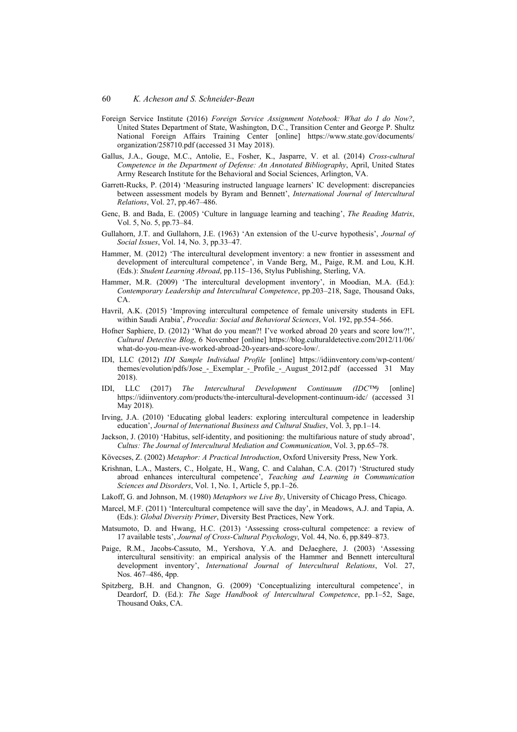- Foreign Service Institute (2016) *Foreign Service Assignment Notebook: What do I do Now?*, United States Department of State, Washington, D.C., Transition Center and George P. Shultz National Foreign Affairs Training Center [online] https://www.state.gov/documents/ organization/258710.pdf (accessed 31 May 2018).
- Gallus, J.A., Gouge, M.C., Antolie, E., Fosher, K., Jasparre, V. et al. (2014) *Cross-cultural Competence in the Department of Defense: An Annotated Bibliography*, April, United States Army Research Institute for the Behavioral and Social Sciences, Arlington, VA.
- Garrett-Rucks, P. (2014) 'Measuring instructed language learners' IC development: discrepancies between assessment models by Byram and Bennett', *International Journal of Intercultural Relations*, Vol. 27, pp.467–486.
- Genc, B. and Bada, E. (2005) 'Culture in language learning and teaching', *The Reading Matrix*, Vol. 5, No. 5, pp.73–84.
- Gullahorn, J.T. and Gullahorn, J.E. (1963) 'An extension of the U-curve hypothesis', *Journal of Social Issues*, Vol. 14, No. 3, pp.33–47.
- Hammer, M. (2012) 'The intercultural development inventory: a new frontier in assessment and development of intercultural competence', in Vande Berg, M., Paige, R.M. and Lou, K.H. (Eds.): *Student Learning Abroad*, pp.115–136, Stylus Publishing, Sterling, VA.
- Hammer, M.R. (2009) 'The intercultural development inventory', in Moodian, M.A. (Ed.): *Contemporary Leadership and Intercultural Competence*, pp.203–218, Sage, Thousand Oaks, CA.
- Havril, A.K. (2015) 'Improving intercultural competence of female university students in EFL within Saudi Arabia', *Procedia: Social and Behavioral Sciences*, Vol. 192, pp.554–566.
- Hofner Saphiere, D. (2012) 'What do you mean?! I've worked abroad 20 years and score low?!' *Cultural Detective Blog*, 6 November [online] https://blog.culturaldetective.com/2012/11/06/ what-do-you-mean-ive-worked-abroad-20-years-and-score-low/.
- IDI, LLC (2012) *IDI Sample Individual Profile* [online] https://idiinventory.com/wp-content/ themes/evolution/pdfs/Jose - Exemplar - Profile - August 2012.pdf (accessed 31 May 2018).
- IDI, LLC (2017) *The Intercultural Development Continuum (IDC™)* [online] https://idiinventory.com/products/the-intercultural-development-continuum-idc/ (accessed 31 May 2018).
- Irving, J.A. (2010) 'Educating global leaders: exploring intercultural competence in leadership education', *Journal of International Business and Cultural Studies*, Vol. 3, pp.1–14.
- Jackson, J. (2010) 'Habitus, self-identity, and positioning: the multifarious nature of study abroad', *Cultus: The Journal of Intercultural Mediation and Communication*, Vol. 3, pp.65–78.
- Kövecses, Z. (2002) *Metaphor: A Practical Introduction*, Oxford University Press, New York.
- Krishnan, L.A., Masters, C., Holgate, H., Wang, C. and Calahan, C.A. (2017) 'Structured study abroad enhances intercultural competence', *Teaching and Learning in Communication Sciences and Disorders*, Vol. 1, No. 1, Article 5, pp.1–26.
- Lakoff, G. and Johnson, M. (1980) *Metaphors we Live By*, University of Chicago Press, Chicago.
- Marcel, M.F. (2011) 'Intercultural competence will save the day', in Meadows, A.J. and Tapia, A. (Eds.): *Global Diversity Primer*, Diversity Best Practices, New York.
- Matsumoto, D. and Hwang, H.C. (2013) 'Assessing cross-cultural competence: a review of 17 available tests', *Journal of Cross-Cultural Psychology*, Vol. 44, No. 6, pp.849–873.
- Paige, R.M., Jacobs-Cassuto, M., Yershova, Y.A. and DeJaeghere, J. (2003) 'Assessing intercultural sensitivity: an empirical analysis of the Hammer and Bennett intercultural development inventory', *International Journal of Intercultural Relations*, Vol. 27, Nos. 467–486, 4pp.
- Spitzberg, B.H. and Changnon, G. (2009) 'Conceptualizing intercultural competence', in Deardorf, D. (Ed.): *The Sage Handbook of Intercultural Competence*, pp.1–52, Sage, Thousand Oaks, CA.